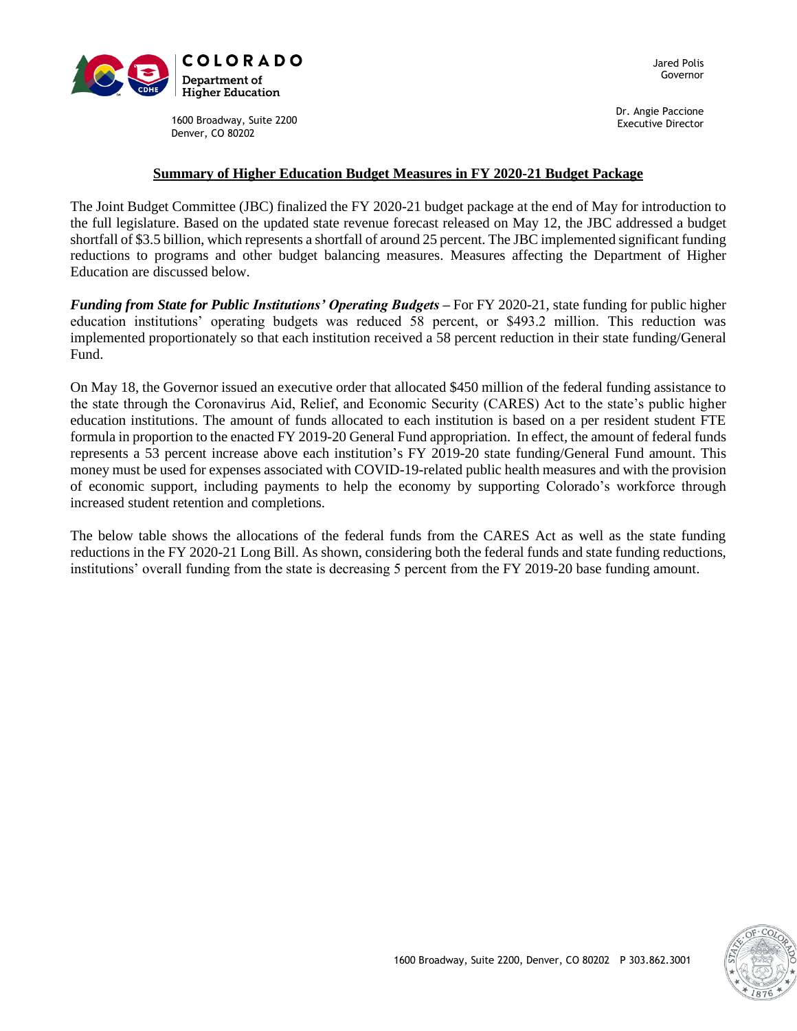

Jared Polis Governor

1600 Broadway, Suite 2200 Denver, CO 80202

Dr. Angie Paccione Executive Director

### **Summary of Higher Education Budget Measures in FY 2020-21 Budget Package**

The Joint Budget Committee (JBC) finalized the FY 2020-21 budget package at the end of May for introduction to the full legislature. Based on the updated state revenue forecast released on May 12, the JBC addressed a budget shortfall of \$3.5 billion, which represents a shortfall of around 25 percent. The JBC implemented significant funding reductions to programs and other budget balancing measures. Measures affecting the Department of Higher Education are discussed below.

*Funding from State for Public Institutions' Operating Budgets* – For FY 2020-21, state funding for public higher education institutions' operating budgets was reduced 58 percent, or \$493.2 million. This reduction was implemented proportionately so that each institution received a 58 percent reduction in their state funding/General Fund.

On May 18, the Governor issued an executive order that allocated \$450 million of the federal funding assistance to the state through the Coronavirus Aid, Relief, and Economic Security (CARES) Act to the state's public higher education institutions. The amount of funds allocated to each institution is based on a per resident student FTE formula in proportion to the enacted FY 2019-20 General Fund appropriation. In effect, the amount of federal funds represents a 53 percent increase above each institution's FY 2019-20 state funding/General Fund amount. This money must be used for expenses associated with COVID-19-related public health measures and with the provision of economic support, including payments to help the economy by supporting Colorado's workforce through increased student retention and completions.

The below table shows the allocations of the federal funds from the CARES Act as well as the state funding reductions in the FY 2020-21 Long Bill. As shown, considering both the federal funds and state funding reductions, institutions' overall funding from the state is decreasing 5 percent from the FY 2019-20 base funding amount.

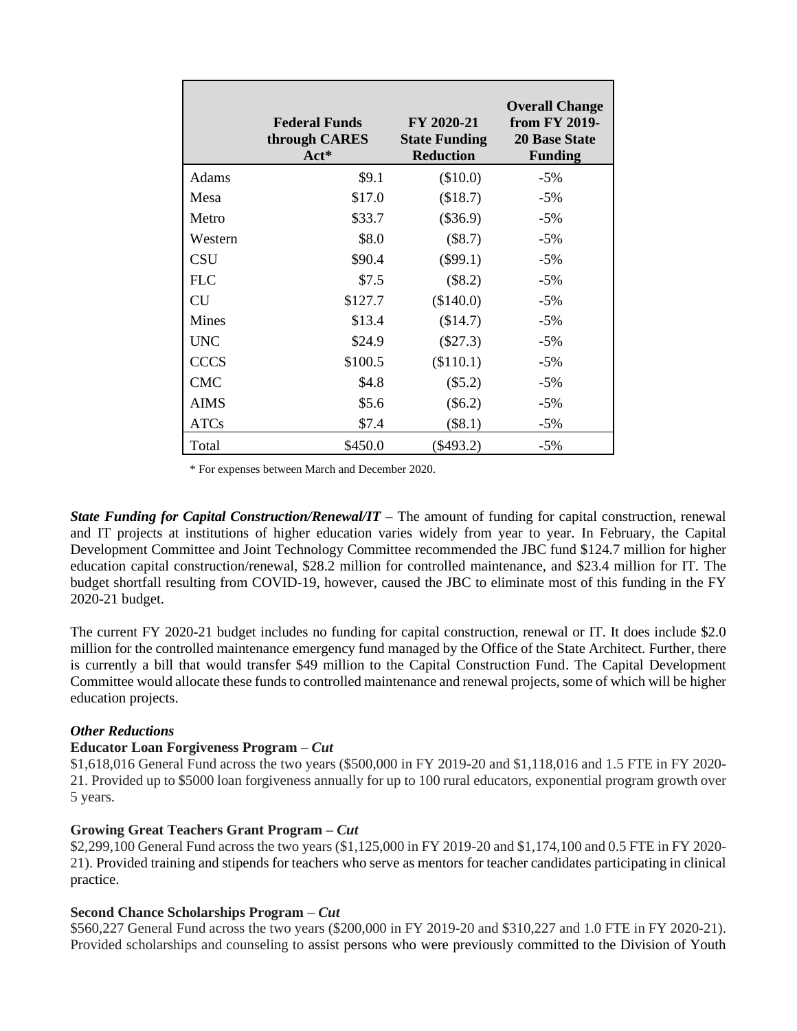|              | <b>Federal Funds</b><br>through CARES<br>$Act^*$ | FY 2020-21<br><b>State Funding</b><br><b>Reduction</b> | <b>Overall Change</b><br>from FY 2019-<br><b>20 Base State</b><br><b>Funding</b> |
|--------------|--------------------------------------------------|--------------------------------------------------------|----------------------------------------------------------------------------------|
| Adams        | \$9.1                                            | (\$10.0)                                               | $-5\%$                                                                           |
| Mesa         | \$17.0                                           | (\$18.7)                                               | $-5\%$                                                                           |
| Metro        | \$33.7                                           | $(\$36.9)$                                             | $-5\%$                                                                           |
| Western      | \$8.0                                            | $(\$8.7)$                                              | $-5\%$                                                                           |
| <b>CSU</b>   | \$90.4                                           | $(\$99.1)$                                             | $-5\%$                                                                           |
| <b>FLC</b>   | \$7.5                                            | $(\$8.2)$                                              | $-5%$                                                                            |
| <b>CU</b>    | \$127.7                                          | (\$140.0)                                              | $-5\%$                                                                           |
| <b>Mines</b> | \$13.4                                           | (\$14.7)                                               | $-5%$                                                                            |
| <b>UNC</b>   | \$24.9                                           | $(\$27.3)$                                             | $-5%$                                                                            |
| <b>CCCS</b>  | \$100.5                                          | (\$110.1)                                              | $-5\%$                                                                           |
| <b>CMC</b>   | \$4.8                                            | $(\$5.2)$                                              | $-5\%$                                                                           |
| <b>AIMS</b>  | \$5.6                                            | $(\$6.2)$                                              | $-5\%$                                                                           |
| <b>ATCs</b>  | \$7.4                                            | $(\$8.1)$                                              | $-5\%$                                                                           |
| Total        | \$450.0                                          | $(\$493.2)$                                            | $-5\%$                                                                           |

\* For expenses between March and December 2020.

*State Funding for Capital Construction/Renewal/IT –* The amount of funding for capital construction, renewal and IT projects at institutions of higher education varies widely from year to year. In February, the Capital Development Committee and Joint Technology Committee recommended the JBC fund \$124.7 million for higher education capital construction/renewal, \$28.2 million for controlled maintenance, and \$23.4 million for IT. The budget shortfall resulting from COVID-19, however, caused the JBC to eliminate most of this funding in the FY 2020-21 budget.

The current FY 2020-21 budget includes no funding for capital construction, renewal or IT. It does include \$2.0 million for the controlled maintenance emergency fund managed by the Office of the State Architect. Further, there is currently a bill that would transfer \$49 million to the Capital Construction Fund. The Capital Development Committee would allocate these funds to controlled maintenance and renewal projects, some of which will be higher education projects.

## *Other Reductions*

#### **Educator Loan Forgiveness Program –** *Cut*

\$1,618,016 General Fund across the two years (\$500,000 in FY 2019-20 and \$1,118,016 and 1.5 FTE in FY 2020- 21. Provided up to \$5000 loan forgiveness annually for up to 100 rural educators, exponential program growth over 5 years.

#### **Growing Great Teachers Grant Program –** *Cut*

\$2,299,100 General Fund across the two years (\$1,125,000 in FY 2019-20 and \$1,174,100 and 0.5 FTE in FY 2020- 21). Provided training and stipends for teachers who serve as mentors for teacher candidates participating in clinical practice.

## **Second Chance Scholarships Program –** *Cut*

\$560,227 General Fund across the two years (\$200,000 in FY 2019-20 and \$310,227 and 1.0 FTE in FY 2020-21). Provided scholarships and counseling to assist persons who were previously committed to the Division of Youth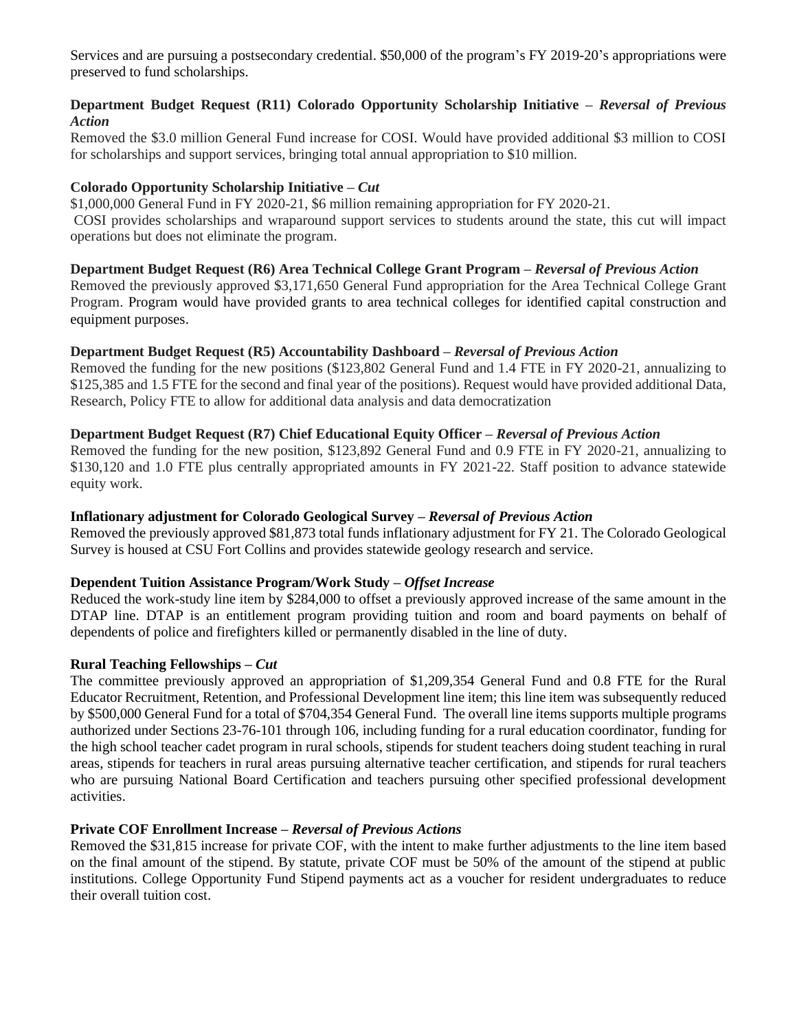Services and are pursuing a postsecondary credential. \$50,000 of the program's FY 2019-20's appropriations were preserved to fund scholarships.

## **Department Budget Request (R11) Colorado Opportunity Scholarship Initiative –** *Reversal of Previous Action*

Removed the \$3.0 million General Fund increase for COSI. Would have provided additional \$3 million to COSI for scholarships and support services, bringing total annual appropriation to \$10 million.

### **Colorado Opportunity Scholarship Initiative –** *Cut*

\$1,000,000 General Fund in FY 2020-21, \$6 million remaining appropriation for FY 2020-21.

COSI provides scholarships and wraparound support services to students around the state, this cut will impact operations but does not eliminate the program.

#### **Department Budget Request (R6) Area Technical College Grant Program –** *Reversal of Previous Action*

Removed the previously approved \$3,171,650 General Fund appropriation for the Area Technical College Grant Program. Program would have provided grants to area technical colleges for identified capital construction and equipment purposes.

## **Department Budget Request (R5) Accountability Dashboard –** *Reversal of Previous Action*

Removed the funding for the new positions (\$123,802 General Fund and 1.4 FTE in FY 2020-21, annualizing to \$125,385 and 1.5 FTE for the second and final year of the positions). Request would have provided additional Data, Research, Policy FTE to allow for additional data analysis and data democratization

#### **Department Budget Request (R7) Chief Educational Equity Officer –** *Reversal of Previous Action*

Removed the funding for the new position, \$123,892 General Fund and 0.9 FTE in FY 2020-21, annualizing to \$130,120 and 1.0 FTE plus centrally appropriated amounts in FY 2021-22. Staff position to advance statewide equity work.

#### **Inflationary adjustment for Colorado Geological Survey –** *Reversal of Previous Action*

Removed the previously approved \$81,873 total funds inflationary adjustment for FY 21. The Colorado Geological Survey is housed at CSU Fort Collins and provides statewide geology research and service.

#### **Dependent Tuition Assistance Program/Work Study –** *Offset Increase*

Reduced the work-study line item by \$284,000 to offset a previously approved increase of the same amount in the DTAP line. DTAP is an entitlement program providing tuition and room and board payments on behalf of dependents of police and firefighters killed or permanently disabled in the line of duty.

#### **Rural Teaching Fellowships –** *Cut*

The committee previously approved an appropriation of \$1,209,354 General Fund and 0.8 FTE for the Rural Educator Recruitment, Retention, and Professional Development line item; this line item was subsequently reduced by \$500,000 General Fund for a total of \$704,354 General Fund. The overall line items supports multiple programs authorized under Sections 23-76-101 through 106, including funding for a rural education coordinator, funding for the high school teacher cadet program in rural schools, stipends for student teachers doing student teaching in rural areas, stipends for teachers in rural areas pursuing alternative teacher certification, and stipends for rural teachers who are pursuing National Board Certification and teachers pursuing other specified professional development activities.

#### **Private COF Enrollment Increase –** *Reversal of Previous Actions*

Removed the \$31,815 increase for private COF, with the intent to make further adjustments to the line item based on the final amount of the stipend. By statute, private COF must be 50% of the amount of the stipend at public institutions. College Opportunity Fund Stipend payments act as a voucher for resident undergraduates to reduce their overall tuition cost.